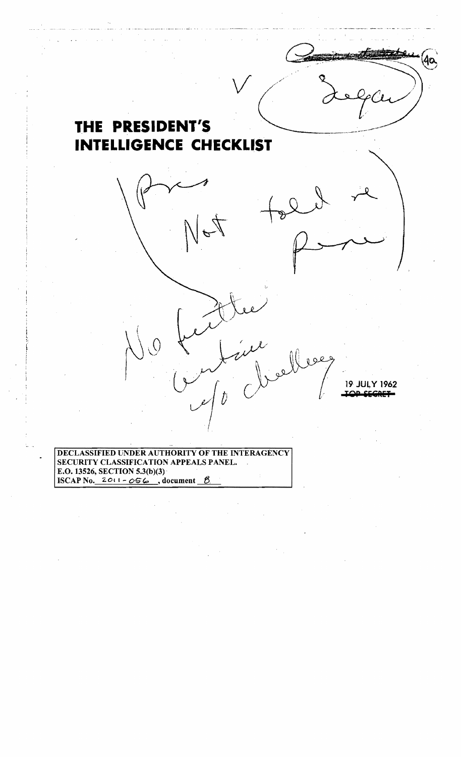

E.O. 13526, SECTION 5.3(b)(3) **ISCAP No.**  $2011 - 056$ , document  $\beta$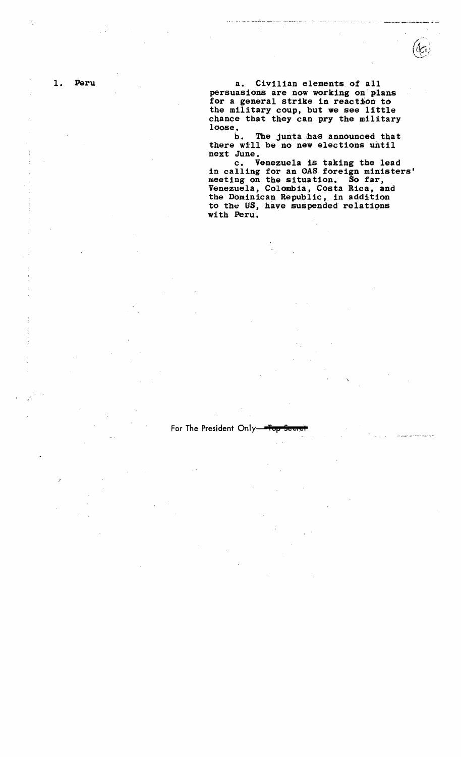1. Peru a. Civilian elements of all persuasions are now working on" plans for a general strike in reaction: to the military coup, but we see little chance that they can pry the military loose.

> b. The junta has announced that there will be no new elections until next June.

c. Venezuela is taking the lead in calling for an OAS foreign ministers' meeting on the situation. So far, Venezuela, Colombia, Costa Rica, and the Dominican Republic, in addition to the US, have suspended relations with Peru.

For The President Only-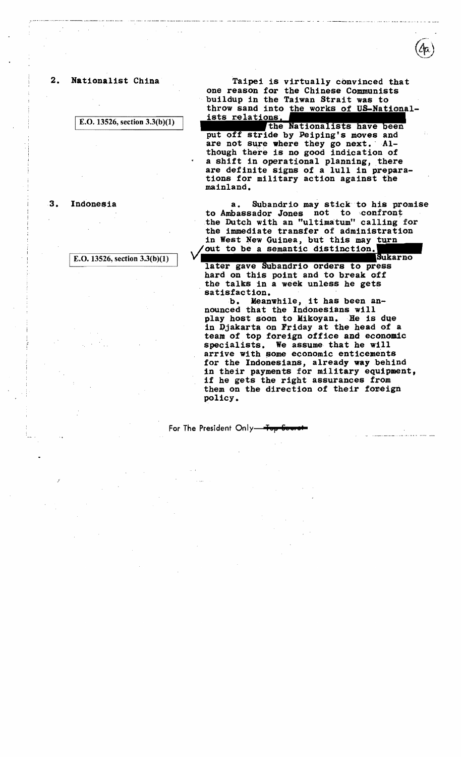#### 2. Nationalist China

E.O. 13526, section  $3.3(b)(1)$ 

3. Indonesia

E.O. 13526, section 3.3(b)(I)

Taipei is virtually convinced that one reason for the Chinese Communists buildup in the Taiwan Strait was to throw sand into the works of US-Nationalists relations.

the Nationalists have been<br>put off stride by Peiping's moves and are not sure where they go next. Although there is no good indication of a shift in operational planning, there are definite signs of a lull in prepara-<br>tions for military action against the mainland.

a. Subandrio may stick to his promise to Ambassador Jones not to confront the Dutch with an "ultimatum" calling for the immediate transfer of administration in West New Guinea, but this may turn out to be a semantic distinction.

Sukarno gave Subandrio orders to press hard on this point and to break off the talks in a week unless he gets satisfaction.

b. Meanwhile, it has been announced that the Indonesians will play host soon to Mikoyan. He is due in Ujakarta on Friday at the head of a team of top foreign office and economic specialists. We assume that he will arrive with some economic enticements<br>for the Indonesians, already way behind in their payments for military equipment, if he gets the right assurances from them on the direction of their foreign policy.

For The President Only-Top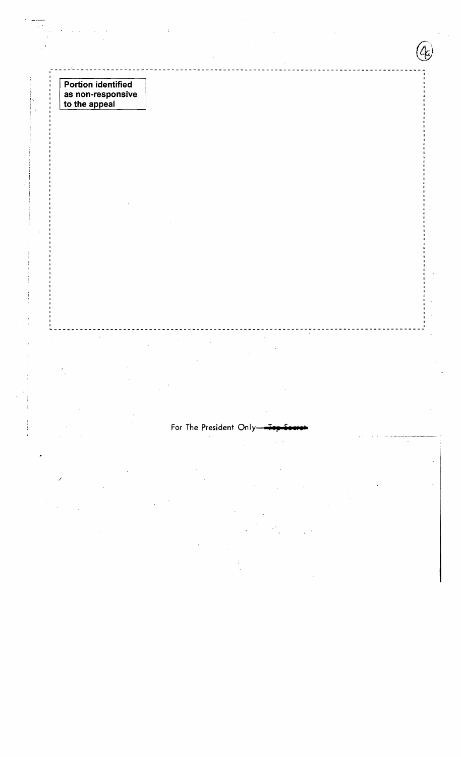Portion identified<br>as non-responsive<br>to the appeal

For The President Only-

.<br>Cr.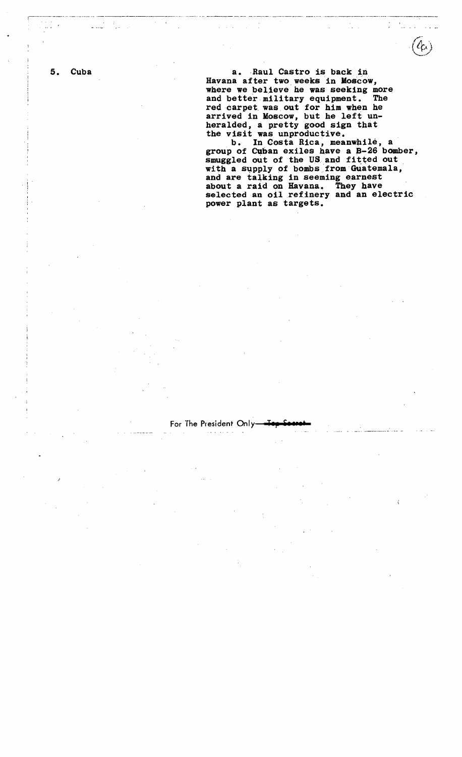5. Cuba a. Raul Castro is back in Havana after two. weeks in Moscow, where we believe he was seeking more and better military equipment. The red carpet. was out for him when he arrived in Moscow, but he left unheralded, a pretty good sign that the visit was unproductive.

r-------------- -- --\_.-+-.--- -- -------------.•--.--.----- ....-----. -.- -..-~---~-- '-". \_.... --'.-\_.-'- .-----.-----. ----...- ..-----.---------------.--.---

b. In Costa Rica, meanwhile, a group of Cuban exiles have a B-26 bomber, smuggled out of the US and fitted out with a supply of bombs from Guatemala, and are talking in seeming earnest about a raid on Havana. They have selected an oil refinery and an electric power plant as targets.

### For The President Only-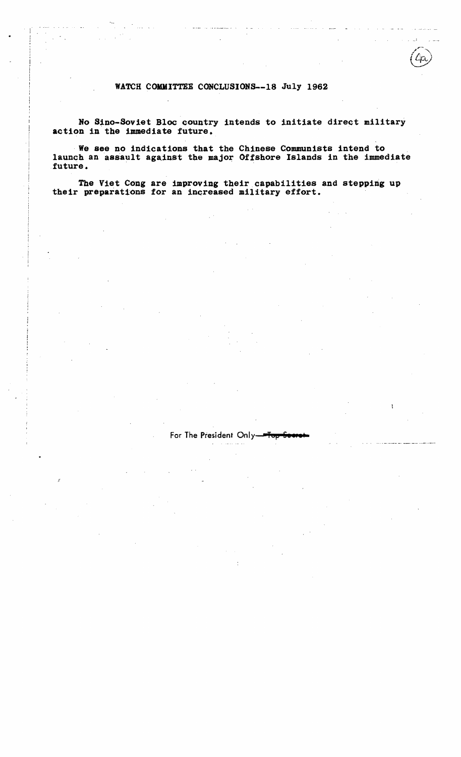### WATCH COMMITTEE CONCLUSIONS--18 July 1962

and the company of the company of the company of the company of the company of the company of the company of the company of the company of the company of the company of the company of the company of the company of the comp

No Sino-Soviet Bloc country intends to initiate direct military action in the immediate future.

. We see no indications that the Chinese Communists intend to launch an assault against the major Offshore Islands in the immediate future. .

The Viet Cong are improving their capabilities and stepping up their preparations for an increased military effort.

#### For The President Only-

التواصل ووصالات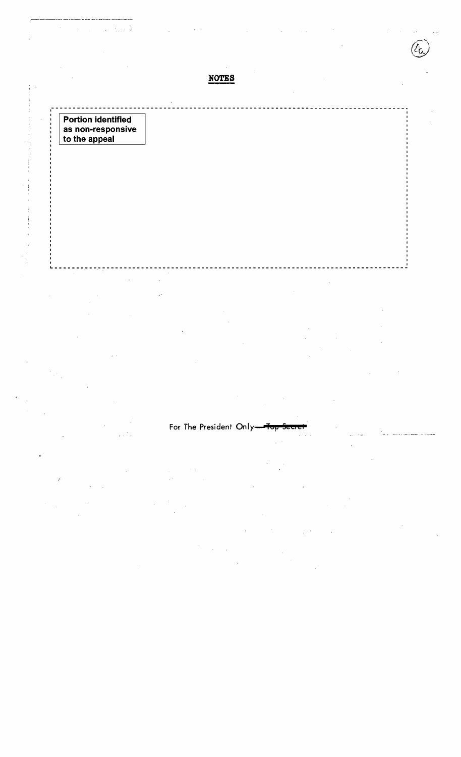**NOTES** 

Portion identified<br>as non-responsive<br>to the appeal

 $\frac{1}{4}$ 

j

 $\frac{1}{2}$ 

 $\frac{1}{2}$ J.

J.

# For The President Only-